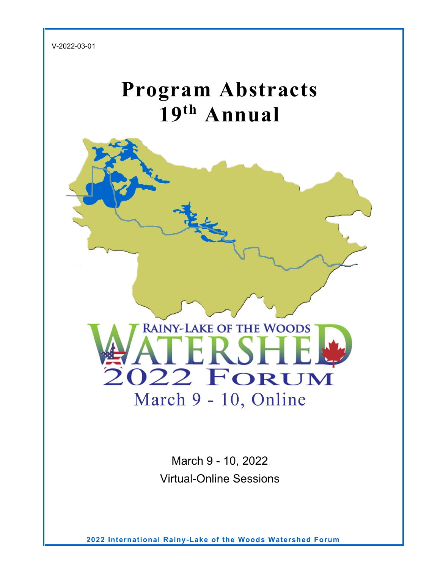V-2022-03-01

# **Program Abstracts 19th Annual**



March 9 - 10, 2022 Virtual-Online Sessions

**2022 International Rainy-Lake of the Woods Watershed Forum**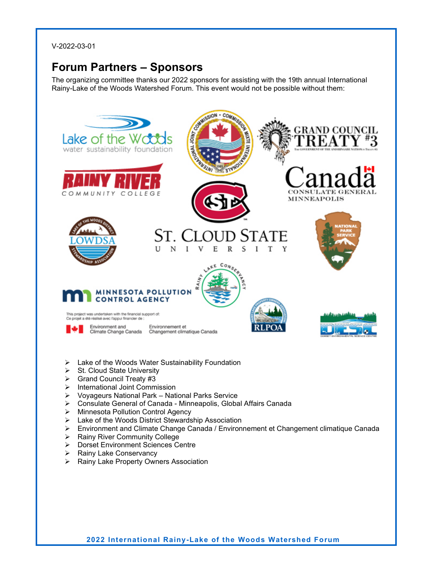V-2022-03-01

### <span id="page-1-0"></span>**Forum Partners – Sponsors**

The organizing committee thanks our 2022 sponsors for assisting with the 19th annual International Rainy-Lake of the Woods Watershed Forum. This event would not be possible without them:



- $\triangleright$  Lake of the Woods Water Sustainability Foundation
- $\triangleright$  St. Cloud State University
- Grand Council Treaty #3
- $\triangleright$  International Joint Commission
- Voyageurs National Park National Parks Service
- Consulate General of Canada Minneapolis, Global Affairs Canada
- > Minnesota Pollution Control Agency
- Lake of the Woods District Stewardship Association
- Environment and Climate Change Canada / Environnement et Changement climatique Canada
- $\triangleright$  Rainy River Community College
- **▶ Dorset Environment Sciences Centre**
- $\triangleright$  Rainy Lake Conservancy
- ▶ Rainy Lake Property Owners Association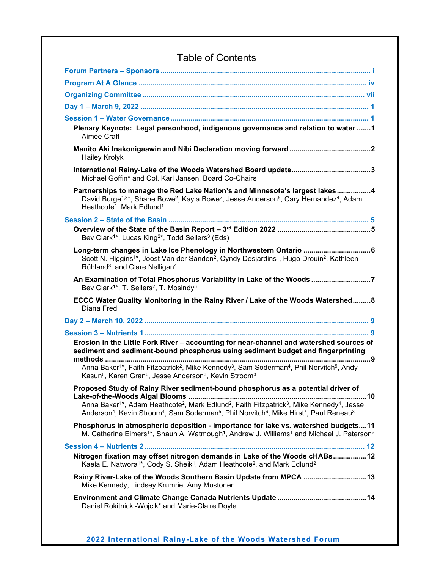| Plenary Keynote: Legal personhood, indigenous governance and relation to water 1<br>Aimée Craft                                                                                                                                                                                                                                                                                                               |     |
|---------------------------------------------------------------------------------------------------------------------------------------------------------------------------------------------------------------------------------------------------------------------------------------------------------------------------------------------------------------------------------------------------------------|-----|
| <b>Hailey Krolyk</b>                                                                                                                                                                                                                                                                                                                                                                                          |     |
| Michael Goffin* and Col. Karl Jansen, Board Co-Chairs                                                                                                                                                                                                                                                                                                                                                         |     |
| Partnerships to manage the Red Lake Nation's and Minnesota's largest lakes4<br>David Burge <sup>1,3*</sup> , Shane Bowe <sup>2</sup> , Kayla Bowe <sup>2</sup> , Jesse Anderson <sup>5</sup> , Cary Hernandez <sup>4</sup> , Adam<br>Heathcote <sup>1</sup> , Mark Edlund <sup>1</sup>                                                                                                                        |     |
|                                                                                                                                                                                                                                                                                                                                                                                                               |     |
| Bev Clark <sup>1*</sup> , Lucas King <sup>2*</sup> , Todd Sellers <sup>3</sup> (Eds)                                                                                                                                                                                                                                                                                                                          |     |
| Scott N. Higgins <sup>1*</sup> , Joost Van der Sanden <sup>2</sup> , Cyndy Desjardins <sup>1</sup> , Hugo Drouin <sup>2</sup> , Kathleen<br>Rühland <sup>3</sup> , and Clare Nelligan <sup>4</sup>                                                                                                                                                                                                            |     |
| An Examination of Total Phosphorus Variability in Lake of the Woods 7<br>Bev Clark <sup>1*</sup> , T. Sellers <sup>2</sup> , T. Mosindy <sup>3</sup>                                                                                                                                                                                                                                                          |     |
| ECCC Water Quality Monitoring in the Rainy River / Lake of the Woods Watershed 8<br>Diana Fred                                                                                                                                                                                                                                                                                                                |     |
|                                                                                                                                                                                                                                                                                                                                                                                                               |     |
|                                                                                                                                                                                                                                                                                                                                                                                                               |     |
| Erosion in the Little Fork River - accounting for near-channel and watershed sources of<br>sediment and sediment-bound phosphorus using sediment budget and fingerprinting<br>methods                                                                                                                                                                                                                         | . 9 |
| Anna Baker <sup>1*</sup> , Faith Fitzpatrick <sup>2</sup> , Mike Kennedy <sup>3</sup> , Sam Soderman <sup>4</sup> , Phil Norvitch <sup>5</sup> , Andy<br>Kasun <sup>6</sup> , Karen Gran <sup>6</sup> , Jesse Anderson <sup>3</sup> , Kevin Stroom <sup>3</sup>                                                                                                                                               |     |
| Proposed Study of Rainy River sediment-bound phosphorus as a potential driver of<br>Anna Baker <sup>1*</sup> , Adam Heathcote <sup>2</sup> , Mark Edlund <sup>2</sup> , Faith Fitzpatrick <sup>3</sup> , Mike Kennedy <sup>4</sup> , Jesse<br>Anderson <sup>4</sup> , Kevin Stroom <sup>4</sup> , Sam Soderman <sup>5</sup> , Phil Norvitch <sup>6</sup> , Mike Hirst <sup>7</sup> , Paul Reneau <sup>3</sup> |     |
| Phosphorus in atmospheric deposition - importance for lake vs. watershed budgets11<br>M. Catherine Eimers <sup>1*</sup> , Shaun A. Watmough <sup>1</sup> , Andrew J. Williams <sup>1</sup> and Michael J. Paterson <sup>2</sup>                                                                                                                                                                               |     |
|                                                                                                                                                                                                                                                                                                                                                                                                               |     |
|                                                                                                                                                                                                                                                                                                                                                                                                               |     |
| Nitrogen fixation may offset nitrogen demands in Lake of the Woods cHABs 12<br>Kaela E. Natwora <sup>1*</sup> , Cody S. Sheik <sup>1</sup> , Adam Heathcote <sup>2</sup> , and Mark Edlund <sup>2</sup>                                                                                                                                                                                                       |     |
| Mike Kennedy, Lindsey Krumrie, Amy Mustonen                                                                                                                                                                                                                                                                                                                                                                   |     |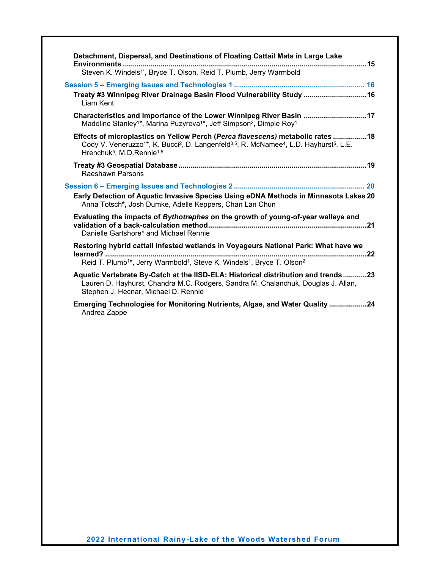| Detachment, Dispersal, and Destinations of Floating Cattail Mats in Large Lake                                                                                                                                                                                                              |
|---------------------------------------------------------------------------------------------------------------------------------------------------------------------------------------------------------------------------------------------------------------------------------------------|
| Steven K. Windels <sup>1*</sup> , Bryce T. Olson, Reid T. Plumb, Jerry Warmbold                                                                                                                                                                                                             |
| Treaty #3 Winnipeg River Drainage Basin Flood Vulnerability Study  16<br><b>Liam Kent</b>                                                                                                                                                                                                   |
| Characteristics and Importance of the Lower Winnipeg River Basin 17<br>Madeline Stanley <sup>1*</sup> , Marina Puzyreva <sup>1*</sup> , Jeff Simpson <sup>2</sup> , Dimple Roy <sup>1</sup>                                                                                                 |
| Effects of microplastics on Yellow Perch (Perca flavescens) metabolic rates 18<br>Cody V. Veneruzzo <sup>1*</sup> , K. Bucci <sup>2</sup> , D. Langenfeld <sup>3,5</sup> , R. McNamee <sup>4</sup> , L.D. Hayhurst <sup>5</sup> , L.E.<br>Hrenchuk <sup>5</sup> , M.D.Rennie <sup>1,5</sup> |
| Raeshawn Parsons                                                                                                                                                                                                                                                                            |
| Early Detection of Aquatic Invasive Species Using eDNA Methods in Minnesota Lakes 20<br>Anna Totsch*, Josh Dumke, Adelle Keppers, Chan Lan Chun                                                                                                                                             |
| Evaluating the impacts of Bythotrephes on the growth of young-of-year walleye and<br>Danielle Gartshore* and Michael Rennie                                                                                                                                                                 |
| Restoring hybrid cattail infested wetlands in Voyageurs National Park: What have we                                                                                                                                                                                                         |
| Reid T. Plumb <sup>1*</sup> , Jerry Warmbold <sup>1</sup> , Steve K. Windels <sup>1</sup> , Bryce T. Olson <sup>2</sup>                                                                                                                                                                     |
| Aquatic Vertebrate By-Catch at the IISD-ELA: Historical distribution and trends23<br>Lauren D. Hayhurst, Chandra M.C. Rodgers, Sandra M. Chalanchuk, Douglas J. Allan,<br>Stephen J. Hecnar, Michael D. Rennie                                                                              |
| Emerging Technologies for Monitoring Nutrients, Algae, and Water Quality 24<br>Andrea Zappe                                                                                                                                                                                                 |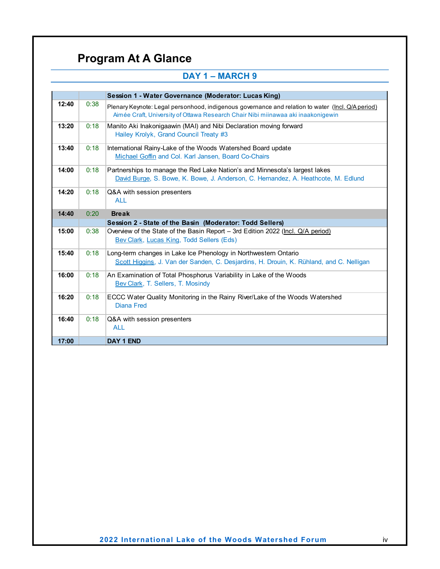## **Program At A Glance**

<span id="page-4-0"></span>

|       | <b>DAY 1 - MARCH 9</b> |                                                                                                                                                                                       |  |  |
|-------|------------------------|---------------------------------------------------------------------------------------------------------------------------------------------------------------------------------------|--|--|
|       |                        |                                                                                                                                                                                       |  |  |
|       |                        | Session 1 - Water Governance (Moderator: Lucas King)                                                                                                                                  |  |  |
| 12:40 | 0:38                   | Plenary Keynote: Legal personhood, indigenous governance and relation to water (Incl. Q/A period)<br>Aimée Craft, University of Ottawa Research Chair Nibi miinawaa aki inaakonigewin |  |  |
| 13:20 | 0:18                   | Manito Aki Inakonigaawin (MAI) and Nibi Declaration moving forward<br>Hailey Krolyk, Grand Council Treaty #3                                                                          |  |  |
| 13:40 | 0:18                   | International Rainy-Lake of the Woods Watershed Board update<br>Michael Goffin and Col. Karl Jansen, Board Co-Chairs                                                                  |  |  |
| 14:00 | 0:18                   | Partnerships to manage the Red Lake Nation's and Minnesota's largest lakes<br>David Burge, S. Bowe, K. Bowe, J. Anderson, C. Hernandez, A. Heathcote, M. Edlund                       |  |  |
| 14:20 | 0:18                   | Q&A with session presenters<br><b>ALL</b>                                                                                                                                             |  |  |
| 14:40 | 0:20                   | <b>Break</b>                                                                                                                                                                          |  |  |
|       |                        | Session 2 - State of the Basin (Moderator: Todd Sellers)                                                                                                                              |  |  |
| 15:00 | 0:38                   | Overview of the State of the Basin Report - 3rd Edition 2022 (Incl. Q/A period)<br>Bev Clark, Lucas King, Todd Sellers (Eds)                                                          |  |  |
| 15:40 | 0:18                   | Long-term changes in Lake Ice Phenology in Northwestern Ontario<br>Scott Higgins, J. Van der Sanden, C. Desjardins, H. Drouin, K. Rühland, and C. Nelligan                            |  |  |
| 16:00 | 0:18                   | An Examination of Total Phosphorus Variability in Lake of the Woods<br>Bev Clark, T. Sellers, T. Mosindy                                                                              |  |  |
| 16:20 | 0:18                   | ECCC Water Quality Monitoring in the Rainy River/Lake of the Woods Watershed<br><b>Diana Fred</b>                                                                                     |  |  |
| 16:40 | 0:18                   | Q&A with session presenters<br><b>ALL</b>                                                                                                                                             |  |  |
|       |                        |                                                                                                                                                                                       |  |  |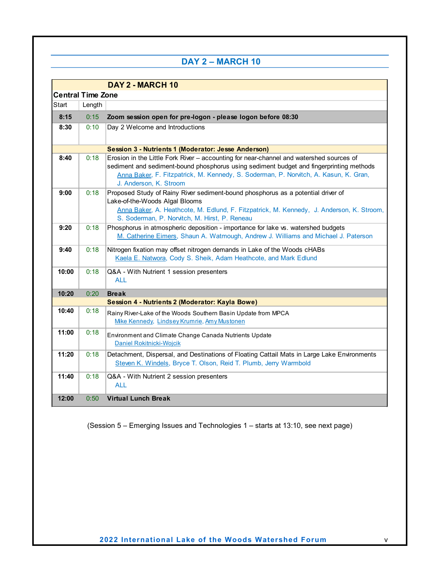### **DAY 2 – MARCH 10**

|       |                          | DAY 2 - MARCH 10                                                                                                                                                                                                                                                                                     |  |  |  |  |
|-------|--------------------------|------------------------------------------------------------------------------------------------------------------------------------------------------------------------------------------------------------------------------------------------------------------------------------------------------|--|--|--|--|
|       | <b>Central Time Zone</b> |                                                                                                                                                                                                                                                                                                      |  |  |  |  |
| Start | Length                   |                                                                                                                                                                                                                                                                                                      |  |  |  |  |
| 8:15  | 0:15                     | Zoom session open for pre-logon - please logon before 08:30                                                                                                                                                                                                                                          |  |  |  |  |
| 8:30  | 0:10                     | Day 2 Welcome and Introductions                                                                                                                                                                                                                                                                      |  |  |  |  |
|       |                          | Session 3 - Nutrients 1 (Moderator: Jesse Anderson)                                                                                                                                                                                                                                                  |  |  |  |  |
| 8:40  | 0:18                     | Erosion in the Little Fork River - accounting for near-channel and watershed sources of<br>sediment and sediment-bound phosphorus using sediment budget and fingerprinting methods<br>Anna Baker, F. Fitzpatrick, M. Kennedy, S. Soderman, P. Norvitch, A. Kasun, K. Gran,<br>J. Anderson, K. Stroom |  |  |  |  |
| 9:00  | 0:18                     | Proposed Study of Rainy River sediment-bound phosphorus as a potential driver of<br>Lake-of-the-Woods Algal Blooms<br>Anna Baker, A. Heathcote, M. Edlund, F. Fitzpatrick, M. Kennedy, J. Anderson, K. Stroom,<br>S. Soderman, P. Norvitch, M. Hirst, P. Reneau                                      |  |  |  |  |
| 9:20  | 0:18                     | Phosphorus in atmospheric deposition - importance for lake vs. watershed budgets<br>M. Catherine Eimers, Shaun A. Watmough, Andrew J. Williams and Michael J. Paterson                                                                                                                               |  |  |  |  |
| 9:40  | 0:18                     | Nitrogen fixation may offset nitrogen demands in Lake of the Woods cHABs<br>Kaela E. Natwora, Cody S. Sheik, Adam Heathcote, and Mark Edlund                                                                                                                                                         |  |  |  |  |
| 10:00 | 0:18                     | Q&A - With Nutrient 1 session presenters<br><b>ALL</b>                                                                                                                                                                                                                                               |  |  |  |  |
| 10:20 | 0:20                     | <b>Break</b>                                                                                                                                                                                                                                                                                         |  |  |  |  |
|       |                          | Session 4 - Nutrients 2 (Moderator: Kayla Bowe)                                                                                                                                                                                                                                                      |  |  |  |  |
| 10:40 | 0:18                     | Rainy River-Lake of the Woods Southern Basin Update from MPCA<br>Mike Kennedy, Lindsey Krumrie, Amy Mustonen                                                                                                                                                                                         |  |  |  |  |
| 11:00 | 0:18                     | Environment and Climate Change Canada Nutrients Update<br><b>Daniel Rokitnicki-Woicik</b>                                                                                                                                                                                                            |  |  |  |  |
| 11:20 | 0:18                     | Detachment, Dispersal, and Destinations of Floating Cattail Mats in Large Lake Environments<br>Steven K. Windels, Bryce T. Olson, Reid T. Plumb, Jerry Warmbold                                                                                                                                      |  |  |  |  |
| 11:40 | 0:18                     | Q&A - With Nutrient 2 session presenters<br><b>ALL</b>                                                                                                                                                                                                                                               |  |  |  |  |
| 12:00 | 0:50                     | <b>Virtual Lunch Break</b>                                                                                                                                                                                                                                                                           |  |  |  |  |

(Session 5 – Emerging Issues and Technologies 1 – starts at 13:10, see next page)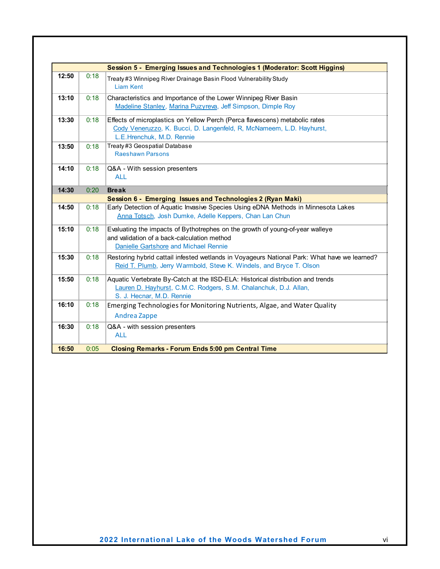|       |      | Session 5 - Emerging Issues and Technologies 1 (Moderator: Scott Higgins)                                                                                                        |
|-------|------|----------------------------------------------------------------------------------------------------------------------------------------------------------------------------------|
| 12:50 | 0:18 | Treaty#3 Winnipeg River Drainage Basin Flood Vulnerability Study<br><b>Liam Kent</b>                                                                                             |
| 13:10 | 0:18 | Characteristics and Importance of the Lower Winnipeg River Basin<br>Madeline Stanley, Marina Puzyreva, Jeff Simpson, Dimple Roy                                                  |
| 13:30 | 0:18 | Effects of microplastics on Yellow Perch (Perca flavescens) metabolic rates<br>Cody Veneruzzo, K. Bucci, D. Langenfeld, R, McNameem, L.D. Hayhurst,<br>L.E.Hrenchuk, M.D. Rennie |
| 13:50 | 0:18 | Treaty#3 Geospatial Database<br><b>Raeshawn Parsons</b>                                                                                                                          |
| 14:10 | 0:18 | Q&A - With session presenters<br><b>ALL</b>                                                                                                                                      |
| 14:30 | 0:20 | <b>Break</b>                                                                                                                                                                     |
|       |      | Session 6 - Emerging Issues and Technologies 2 (Ryan Maki)                                                                                                                       |
| 14:50 | 0:18 | Early Detection of Aquatic Invasive Species Using eDNA Methods in Minnesota Lakes<br>Anna Totsch, Josh Dumke, Adelle Keppers, Chan Lan Chun                                      |
| 15:10 | 0:18 | Evaluating the impacts of Bythotrephes on the growth of young-of-year walleye<br>and validation of a back-calculation method<br>Danielle Gartshore and Michael Rennie            |
| 15:30 | 0:18 | Restoring hybrid cattail infested wetlands in Voyageurs National Park: What have we learned?<br>Reid T. Plumb, Jerry Warmbold, Steve K. Windels, and Bryce T. Olson              |
| 15:50 | 0:18 | Aquatic Vertebrate By-Catch at the IISD-ELA: Historical distribution and trends<br>Lauren D. Hayhurst, C.M.C. Rodgers, S.M. Chalanchuk, D.J. Allan,<br>S. J. Hecnar, M.D. Rennie |
| 16:10 | 0:18 | Emerging Technologies for Monitoring Nutrients, Algae, and Water Quality<br>Andrea Zappe                                                                                         |
| 16:30 | 0:18 | Q&A - with session presenters<br><b>ALL</b>                                                                                                                                      |
| 16:50 | 0:05 | <b>Closing Remarks - Forum Ends 5:00 pm Central Time</b>                                                                                                                         |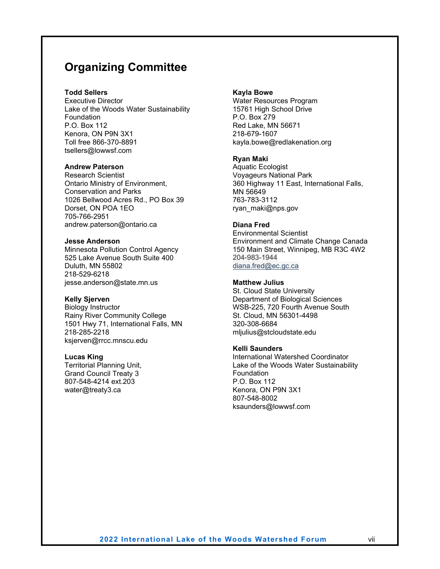### <span id="page-7-0"></span>**Organizing Committee**

#### **Todd Sellers**

Executive Director Lake of the Woods Water Sustainability Foundation P.O. Box 112 Kenora, ON P9N 3X1 Toll free 866-370-8891 tsellers@lowwsf.com

#### **Andrew Paterson**

Research Scientist Ontario Ministry of Environment, Conservation and Parks 1026 Bellwood Acres Rd., PO Box 39 Dorset, ON POA 1EO 705-766-2951 andrew.paterson@ontario.ca

#### **Jesse Anderson**

Minnesota Pollution Control Agency 525 Lake Avenue South Suite 400 Duluth, MN 55802 218-529-6218 jesse.anderson@state.mn.us

#### **Kelly Sjerven**

Biology Instructor Rainy River Community College 1501 Hwy 71, International Falls, MN 218-285-2218 ksjerven@rrcc.mnscu.edu

#### **Lucas King**

Territorial Planning Unit, Grand Council Treaty 3 807-548-4214 ext.203 water@treaty3.ca

#### **Kayla Bowe**

Water Resources Program 15761 High School Drive P.O. Box 279 Red Lake, MN 56671 218-679-1607 kayla.bowe@redlakenation.org

#### **Ryan Maki**

Aquatic Ecologist Voyageurs National Park 360 Highway 11 East, International Falls, MN 56649 763-783-3112 ryan\_maki@nps.gov

#### **Diana Fred**

Environmental Scientist Environment and Climate Change Canada 150 Main Street, Winnipeg, MB R3C 4W2 204-983-1944 [diana.fred@ec.gc.ca](mailto:diana.fred@ec.gc.ca)

#### **Matthew Julius**

St. Cloud State University Department of Biological Sciences WSB-225, 720 Fourth Avenue South St. Cloud, MN 56301-4498 320-308-6684 mljulius@stcloudstate.edu

#### **Kelli Saunders**

International Watershed Coordinator Lake of the Woods Water Sustainability Foundation P.O. Box 112 Kenora, ON P9N 3X1 807-548-8002 ksaunders@lowwsf.com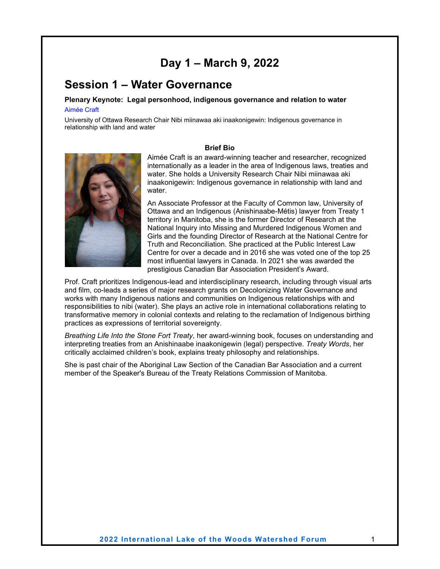### **Day 1 – March 9, 2022**

### <span id="page-8-1"></span><span id="page-8-0"></span>**Session 1 – Water Governance**

<span id="page-8-3"></span><span id="page-8-2"></span>**Plenary Keynote: Legal personhood, indigenous governance and relation to water** Aimée Craft

University of Ottawa Research Chair Nibi miinawaa aki inaakonigewin: Indigenous governance in relationship with land and water

#### **Brief Bio**



Aimée Craft is an award-winning teacher and researcher, recognized internationally as a leader in the area of Indigenous laws, treaties and water. She holds a University Research Chair Nibi miinawaa aki inaakonigewin: Indigenous governance in relationship with land and water.

An Associate Professor at the Faculty of Common law, University of Ottawa and an Indigenous (Anishinaabe-Métis) lawyer from Treaty 1 territory in Manitoba, she is the former Director of Research at the National Inquiry into Missing and Murdered Indigenous Women and Girls and the founding Director of Research at the National Centre for Truth and Reconciliation. She practiced at the Public Interest Law Centre for over a decade and in 2016 she was voted one of the top 25 most influential lawyers in Canada. In 2021 she was awarded the prestigious Canadian Bar Association President's Award.

Prof. Craft prioritizes Indigenous-lead and interdisciplinary research, including through visual arts and film, co-leads a series of major research grants on Decolonizing Water Governance and works with many Indigenous nations and communities on Indigenous relationships with and responsibilities to nibi (water). She plays an active role in international collaborations relating to transformative memory in colonial contexts and relating to the reclamation of Indigenous birthing practices as expressions of territorial sovereignty.

*Breathing Life Into the Stone Fort Treaty*, her award-winning book, focuses on understanding and interpreting treaties from an Anishinaabe inaakonigewin (legal) perspective. *Treaty Words*, her critically acclaimed children's book, explains treaty philosophy and relationships.

She is past chair of the Aboriginal Law Section of the Canadian Bar Association and a current member of the Speaker's Bureau of the Treaty Relations Commission of Manitoba.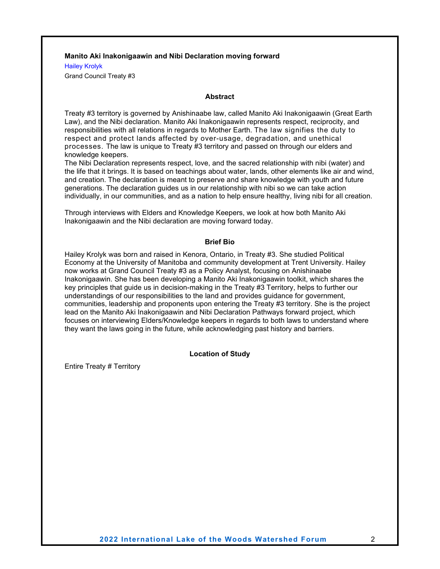#### <span id="page-9-0"></span>**Manito Aki Inakonigaawin and Nibi Declaration moving forward**

<span id="page-9-1"></span>Hailey Krolyk

Grand Council Treaty #3

#### **Abstract**

Treaty #3 territory is governed by Anishinaabe law, called Manito Aki Inakonigaawin (Great Earth Law), and the Nibi declaration. Manito Aki Inakonigaawin represents respect, reciprocity, and responsibilities with all relations in regards to Mother Earth. The law signifies the duty to respect and protect lands affected by over-usage, degradation, and unethical processes. The law is unique to Treaty #3 territory and passed on through our elders and knowledge keepers.

The Nibi Declaration represents respect, love, and the sacred relationship with nibi (water) and the life that it brings. It is based on teachings about water, lands, other elements like air and wind, and creation. The declaration is meant to preserve and share knowledge with youth and future generations. The declaration guides us in our relationship with nibi so we can take action individually, in our communities, and as a nation to help ensure healthy, living nibi for all creation.

Through interviews with Elders and Knowledge Keepers, we look at how both Manito Aki Inakonigaawin and the Nibi declaration are moving forward today.

#### **Brief Bio**

Hailey Krolyk was born and raised in Kenora, Ontario, in Treaty #3. She studied Political Economy at the University of Manitoba and community development at Trent University. Hailey now works at Grand Council Treaty #3 as a Policy Analyst, focusing on Anishinaabe Inakonigaawin. She has been developing a Manito Aki Inakonigaawin toolkit, which shares the key principles that guide us in decision-making in the Treaty #3 Territory, helps to further our understandings of our responsibilities to the land and provides guidance for government, communities, leadership and proponents upon entering the Treaty #3 territory. She is the project lead on the Manito Aki Inakonigaawin and Nibi Declaration Pathways forward project, which focuses on interviewing Elders/Knowledge keepers in regards to both laws to understand where they want the laws going in the future, while acknowledging past history and barriers.

#### **Location of Study**

Entire Treaty # Territory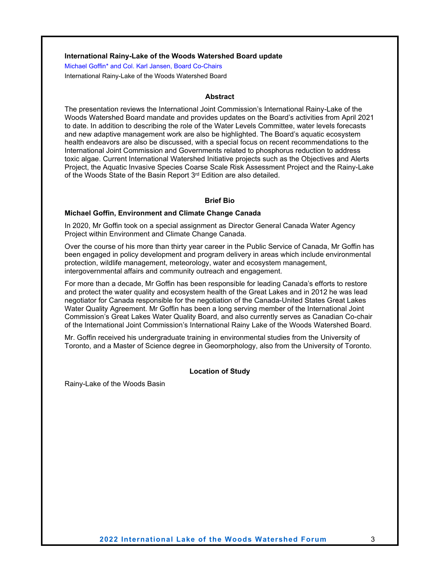#### <span id="page-10-0"></span>**International Rainy-Lake of the Woods Watershed Board update**

<span id="page-10-1"></span>Michael Goffin\* and Col. Karl Jansen, Board Co-Chairs International Rainy-Lake of the Woods Watershed Board

#### **Abstract**

The presentation reviews the International Joint Commission's International Rainy-Lake of the Woods Watershed Board mandate and provides updates on the Board's activities from April 2021 to date. In addition to describing the role of the Water Levels Committee, water levels forecasts and new adaptive management work are also be highlighted. The Board's aquatic ecosystem health endeavors are also be discussed, with a special focus on recent recommendations to the International Joint Commission and Governments related to phosphorus reduction to address toxic algae. Current International Watershed Initiative projects such as the Objectives and Alerts Project, the Aquatic Invasive Species Coarse Scale Risk Assessment Project and the Rainy-Lake of the Woods State of the Basin Report 3<sup>rd</sup> Edition are also detailed.

#### **Brief Bio**

#### **Michael Goffin, Environment and Climate Change Canada**

In 2020, Mr Goffin took on a special assignment as Director General Canada Water Agency Project within Environment and Climate Change Canada.

Over the course of his more than thirty year career in the Public Service of Canada, Mr Goffin has been engaged in policy development and program delivery in areas which include environmental protection, wildlife management, meteorology, water and ecosystem management, intergovernmental affairs and community outreach and engagement.

For more than a decade, Mr Goffin has been responsible for leading Canada's efforts to restore and protect the water quality and ecosystem health of the Great Lakes and in 2012 he was lead negotiator for Canada responsible for the negotiation of the Canada-United States Great Lakes Water Quality Agreement. Mr Goffin has been a long serving member of the International Joint Commission's Great Lakes Water Quality Board, and also currently serves as Canadian Co-chair of the International Joint Commission's International Rainy Lake of the Woods Watershed Board.

Mr. Goffin received his undergraduate training in environmental studies from the University of Toronto, and a Master of Science degree in Geomorphology, also from the University of Toronto.

#### **Location of Study**

Rainy-Lake of the Woods Basin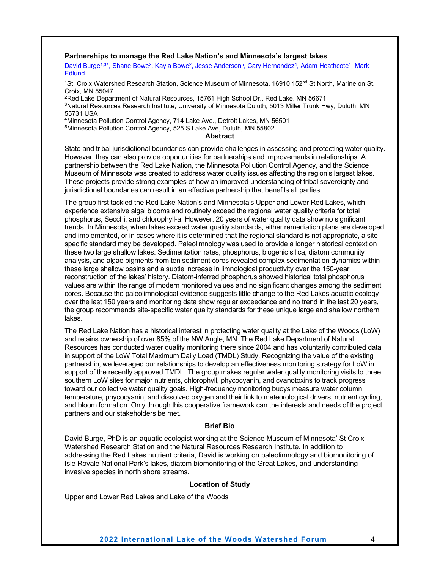#### <span id="page-11-0"></span>**Partnerships to manage the Red Lake Nation's and Minnesota's largest lakes**

<span id="page-11-1"></span>David Burge<sup>1,3\*</sup>, Shane Bowe<sup>2</sup>, Kayla Bowe<sup>2</sup>, Jesse Anderson<sup>5</sup>, Cary Hernandez<sup>4</sup>, Adam Heathcote<sup>1</sup>, Mark Edlund1

<sup>1</sup>St. Croix Watershed Research Station, Science Museum of Minnesota, 16910 152<sup>nd</sup> St North, Marine on St. Croix, MN 55047

<sup>2</sup>Red Lake Department of Natural Resources, 15761 High School Dr., Red Lake, MN 56671 3Natural Resources Research Institute, University of Minnesota Duluth, 5013 Miller Trunk Hwy, Duluth, MN 55731 USA

4Minnesota Pollution Control Agency, 714 Lake Ave., Detroit Lakes, MN 56501

5Minnesota Pollution Control Agency, 525 S Lake Ave, Duluth, MN 55802

**Abstract**

State and tribal jurisdictional boundaries can provide challenges in assessing and protecting water quality. However, they can also provide opportunities for partnerships and improvements in relationships. A partnership between the Red Lake Nation, the Minnesota Pollution Control Agency, and the Science Museum of Minnesota was created to address water quality issues affecting the region's largest lakes. These projects provide strong examples of how an improved understanding of tribal sovereignty and jurisdictional boundaries can result in an effective partnership that benefits all parties.

The group first tackled the Red Lake Nation's and Minnesota's Upper and Lower Red Lakes, which experience extensive algal blooms and routinely exceed the regional water quality criteria for total phosphorus, Secchi, and chlorophyll-a. However, 20 years of water quality data show no significant trends. In Minnesota, when lakes exceed water quality standards, either remediation plans are developed and implemented, or in cases where it is determined that the regional standard is not appropriate, a sitespecific standard may be developed. Paleolimnology was used to provide a longer historical context on these two large shallow lakes. Sedimentation rates, phosphorus, biogenic silica, diatom community analysis, and algae pigments from ten sediment cores revealed complex sedimentation dynamics within these large shallow basins and a subtle increase in limnological productivity over the 150-year reconstruction of the lakes' history. Diatom-inferred phosphorus showed historical total phosphorus values are within the range of modern monitored values and no significant changes among the sediment cores. Because the paleolimnological evidence suggests little change to the Red Lakes aquatic ecology over the last 150 years and monitoring data show regular exceedance and no trend in the last 20 years, the group recommends site-specific water quality standards for these unique large and shallow northern lakes.

The Red Lake Nation has a historical interest in protecting water quality at the Lake of the Woods (LoW) and retains ownership of over 85% of the NW Angle, MN. The Red Lake Department of Natural Resources has conducted water quality monitoring there since 2004 and has voluntarily contributed data in support of the LoW Total Maximum Daily Load (TMDL) Study. Recognizing the value of the existing partnership, we leveraged our relationships to develop an effectiveness monitoring strategy for LoW in support of the recently approved TMDL. The group makes regular water quality monitoring visits to three southern LoW sites for major nutrients, chlorophyll, phycocyanin, and cyanotoxins to track progress toward our collective water quality goals. High-frequency monitoring buoys measure water column temperature, phycocyanin, and dissolved oxygen and their link to meteorological drivers, nutrient cycling, and bloom formation. Only through this cooperative framework can the interests and needs of the project partners and our stakeholders be met.

#### **Brief Bio**

David Burge, PhD is an aquatic ecologist working at the Science Museum of Minnesota' St Croix Watershed Research Station and the Natural Resources Research Institute. In addition to addressing the Red Lakes nutrient criteria, David is working on paleolimnology and biomonitoring of Isle Royale National Park's lakes, diatom biomonitoring of the Great Lakes, and understanding invasive species in north shore streams.

#### **Location of Study**

Upper and Lower Red Lakes and Lake of the Woods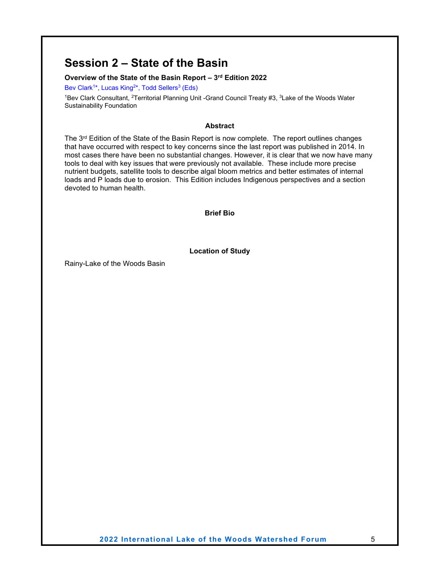### <span id="page-12-0"></span>**Session 2 – State of the Basin**

#### <span id="page-12-1"></span>**Overview of the State of the Basin Report – 3rd Edition 2022**

<span id="page-12-2"></span>Bev Clark<sup>1\*</sup>, Lucas King<sup>2\*</sup>, Todd Sellers<sup>3</sup> (Eds)

1Bev Clark Consultant, <sup>2</sup>Territorial Planning Unit -Grand Council Treaty #3, <sup>3</sup>Lake of the Woods Water Sustainability Foundation

#### **Abstract**

The  $3^{rd}$  Edition of the State of the Basin Report is now complete. The report outlines changes that have occurred with respect to key concerns since the last report was published in 2014. In most cases there have been no substantial changes. However, it is clear that we now have many tools to deal with key issues that were previously not available. These include more precise nutrient budgets, satellite tools to describe algal bloom metrics and better estimates of internal loads and P loads due to erosion. This Edition includes Indigenous perspectives and a section devoted to human health.

**Brief Bio**

**Location of Study**

Rainy-Lake of the Woods Basin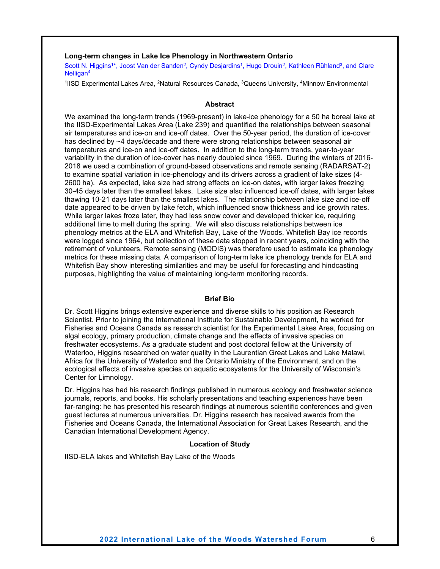#### <span id="page-13-0"></span>**Long-term changes in Lake Ice Phenology in Northwestern Ontario**

<span id="page-13-1"></span>Scott N. Higgins<sup>1\*</sup>, Joost Van der Sanden<sup>2</sup>, Cyndy Desjardins<sup>1</sup>, Hugo Drouin<sup>2</sup>, Kathleen Rühland<sup>3</sup>, and Clare Nelligan4

<sup>1</sup>IISD Experimental Lakes Area, <sup>2</sup>Natural Resources Canada, <sup>3</sup>Queens University, <sup>4</sup>Minnow Environmental

#### **Abstract**

We examined the long-term trends (1969-present) in lake-ice phenology for a 50 ha boreal lake at the IISD-Experimental Lakes Area (Lake 239) and quantified the relationships between seasonal air temperatures and ice-on and ice-off dates. Over the 50-year period, the duration of ice-cover has declined by ~4 days/decade and there were strong relationships between seasonal air temperatures and ice-on and ice-off dates. In addition to the long-term trends, year-to-year variability in the duration of ice-cover has nearly doubled since 1969. During the winters of 2016- 2018 we used a combination of ground-based observations and remote sensing (RADARSAT-2) to examine spatial variation in ice-phenology and its drivers across a gradient of lake sizes (4- 2600 ha). As expected, lake size had strong effects on ice-on dates, with larger lakes freezing 30-45 days later than the smallest lakes. Lake size also influenced ice-off dates, with larger lakes thawing 10-21 days later than the smallest lakes. The relationship between lake size and ice-off date appeared to be driven by lake fetch, which influenced snow thickness and ice growth rates. While larger lakes froze later, they had less snow cover and developed thicker ice, requiring additional time to melt during the spring. We will also discuss relationships between ice phenology metrics at the ELA and Whitefish Bay, Lake of the Woods. Whitefish Bay ice records were logged since 1964, but collection of these data stopped in recent years, coinciding with the retirement of volunteers. Remote sensing (MODIS) was therefore used to estimate ice phenology metrics for these missing data. A comparison of long-term lake ice phenology trends for ELA and Whitefish Bay show interesting similarities and may be useful for forecasting and hindcasting purposes, highlighting the value of maintaining long-term monitoring records.

#### **Brief Bio**

Dr. Scott Higgins brings extensive experience and diverse skills to his position as Research Scientist. Prior to joining the International Institute for Sustainable Development, he worked for Fisheries and Oceans Canada as research scientist for the Experimental Lakes Area, focusing on algal ecology, primary production, climate change and the effects of invasive species on freshwater ecosystems. As a graduate student and post doctoral fellow at the University of Waterloo, Higgins researched on water quality in the Laurentian Great Lakes and Lake Malawi, Africa for the University of Waterloo and the Ontario Ministry of the Environment, and on the ecological effects of invasive species on aquatic ecosystems for the University of Wisconsin's Center for Limnology.

Dr. Higgins has had his research findings published in numerous ecology and freshwater science journals, reports, and books. His scholarly presentations and teaching experiences have been far-ranging: he has presented his research findings at numerous scientific conferences and given guest lectures at numerous universities. Dr. Higgins research has received awards from the Fisheries and Oceans Canada, the International Association for Great Lakes Research, and the Canadian International Development Agency.

#### **Location of Study**

IISD-ELA lakes and Whitefish Bay Lake of the Woods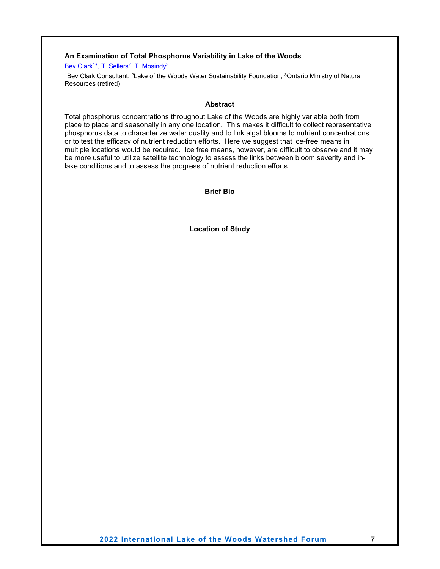#### <span id="page-14-0"></span>**An Examination of Total Phosphorus Variability in Lake of the Woods**

<span id="page-14-1"></span>Bev Clark<sup>1\*</sup>, T. Sellers<sup>2</sup>, T. Mosindy<sup>3</sup>

1Bev Clark Consultant, 2Lake of the Woods Water Sustainability Foundation, 3Ontario Ministry of Natural Resources (retired)

#### **Abstract**

Total phosphorus concentrations throughout Lake of the Woods are highly variable both from place to place and seasonally in any one location. This makes it difficult to collect representative phosphorus data to characterize water quality and to link algal blooms to nutrient concentrations or to test the efficacy of nutrient reduction efforts. Here we suggest that ice-free means in multiple locations would be required. Ice free means, however, are difficult to observe and it may be more useful to utilize satellite technology to assess the links between bloom severity and inlake conditions and to assess the progress of nutrient reduction efforts.

**Brief Bio**

**Location of Study**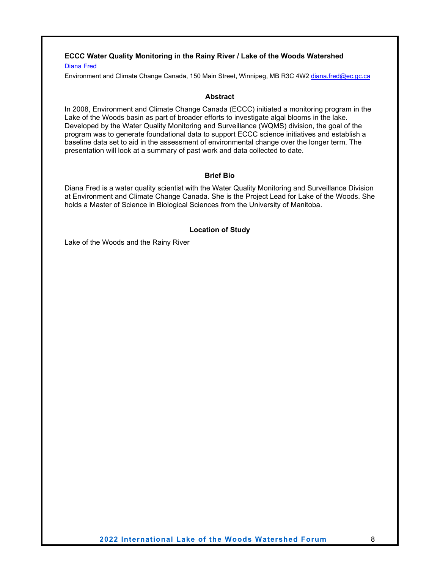### <span id="page-15-0"></span>**ECCC Water Quality Monitoring in the Rainy River / Lake of the Woods Watershed**

#### <span id="page-15-1"></span>Diana Fred

Environment and Climate Change Canada, 150 Main Street, Winnipeg, MB R3C 4W2 [diana.fred@ec.gc.ca](mailto:diana.fred@ec.gc.ca)

#### **Abstract**

In 2008, Environment and Climate Change Canada (ECCC) initiated a monitoring program in the Lake of the Woods basin as part of broader efforts to investigate algal blooms in the lake. Developed by the Water Quality Monitoring and Surveillance (WQMS) division, the goal of the program was to generate foundational data to support ECCC science initiatives and establish a baseline data set to aid in the assessment of environmental change over the longer term. The presentation will look at a summary of past work and data collected to date.

#### **Brief Bio**

Diana Fred is a water quality scientist with the Water Quality Monitoring and Surveillance Division at Environment and Climate Change Canada. She is the Project Lead for Lake of the Woods. She holds a Master of Science in Biological Sciences from the University of Manitoba.

#### **Location of Study**

Lake of the Woods and the Rainy River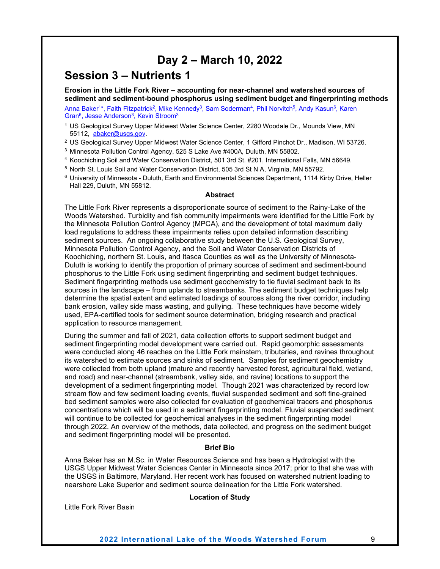### **Day 2 – March 10, 2022**

### <span id="page-16-1"></span><span id="page-16-0"></span>**Session 3 – Nutrients 1**

<span id="page-16-2"></span>**Erosion in the Little Fork River – accounting for near-channel and watershed sources of sediment and sediment-bound phosphorus using sediment budget and fingerprinting methods**

<span id="page-16-3"></span>Anna Baker<sup>1\*</sup>, Faith Fitzpatrick<sup>2</sup>, Mike Kennedy<sup>3</sup>, Sam Soderman<sup>4</sup>, Phil Norvitch<sup>5</sup>, Andy Kasun<sup>6</sup>, Karen Gran<sup>6</sup>, Jesse Anderson<sup>3</sup>, Kevin Stroom<sup>3</sup>

- <sup>1</sup> US Geological Survey Upper Midwest Water Science Center, 2280 Woodale Dr., Mounds View, MN 55112, [abaker@usgs.gov.](mailto:abaker@usgs.gov)
- <sup>2</sup> US Geological Survey Upper Midwest Water Science Center, 1 Gifford Pinchot Dr., Madison, WI 53726.
- <sup>3</sup> Minnesota Pollution Control Agency, 525 S Lake Ave #400A, Duluth, MN 55802.
- <sup>4</sup> Koochiching Soil and Water Conservation District, 501 3rd St. #201, International Falls, MN 56649.
- <sup>5</sup> North St. Louis Soil and Water Conservation District, 505 3rd St N A, Virginia, MN 55792.
- <sup>6</sup> University of Minnesota Duluth, Earth and Environmental Sciences Department, 1114 Kirby Drive, Heller Hall 229, Duluth, MN 55812.

#### **Abstract**

The Little Fork River represents a disproportionate source of sediment to the Rainy-Lake of the Woods Watershed. Turbidity and fish community impairments were identified for the Little Fork by the Minnesota Pollution Control Agency (MPCA), and the development of total maximum daily load regulations to address these impairments relies upon detailed information describing sediment sources. An ongoing collaborative study between the U.S. Geological Survey, Minnesota Pollution Control Agency, and the Soil and Water Conservation Districts of Koochiching, northern St. Louis, and Itasca Counties as well as the University of Minnesota-Duluth is working to identify the proportion of primary sources of sediment and sediment-bound phosphorus to the Little Fork using sediment fingerprinting and sediment budget techniques. Sediment fingerprinting methods use sediment geochemistry to tie fluvial sediment back to its sources in the landscape – from uplands to streambanks. The sediment budget techniques help determine the spatial extent and estimated loadings of sources along the river corridor, including bank erosion, valley side mass wasting, and gullying. These techniques have become widely used, EPA-certified tools for sediment source determination, bridging research and practical application to resource management.

During the summer and fall of 2021, data collection efforts to support sediment budget and sediment fingerprinting model development were carried out. Rapid geomorphic assessments were conducted along 46 reaches on the Little Fork mainstem, tributaries, and ravines throughout its watershed to estimate sources and sinks of sediment. Samples for sediment geochemistry were collected from both upland (mature and recently harvested forest, agricultural field, wetland, and road) and near-channel (streambank, valley side, and ravine) locations to support the development of a sediment fingerprinting model. Though 2021 was characterized by record low stream flow and few sediment loading events, fluvial suspended sediment and soft fine-grained bed sediment samples were also collected for evaluation of geochemical tracers and phosphorus concentrations which will be used in a sediment fingerprinting model. Fluvial suspended sediment will continue to be collected for geochemical analyses in the sediment fingerprinting model through 2022. An overview of the methods, data collected, and progress on the sediment budget and sediment fingerprinting model will be presented.

#### **Brief Bio**

Anna Baker has an M.Sc. in Water Resources Science and has been a Hydrologist with the USGS Upper Midwest Water Sciences Center in Minnesota since 2017; prior to that she was with the USGS in Baltimore, Maryland. Her recent work has focused on watershed nutrient loading to nearshore Lake Superior and sediment source delineation for the Little Fork watershed.

#### **Location of Study**

Little Fork River Basin

**2022 International Lake of the Woods Watershed Forum** 9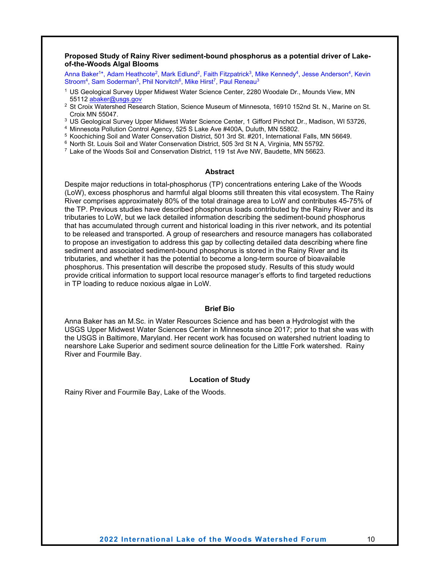#### <span id="page-17-0"></span>**Proposed Study of Rainy River sediment-bound phosphorus as a potential driver of Lakeof-the-Woods Algal Blooms**

<span id="page-17-1"></span>Anna Baker<sup>1\*</sup>, Adam Heathcote<sup>2</sup>, Mark Edlund<sup>2</sup>, Faith Fitzpatrick<sup>3</sup>, Mike Kennedy<sup>4</sup>, Jesse Anderson<sup>4</sup>, Kevin Stroom<sup>4</sup>, Sam Soderman<sup>5</sup>, Phil Norvitch<sup>6</sup>, Mike Hirst<sup>7</sup>, Paul Reneau<sup>3</sup>

- <sup>1</sup> US Geological Survey Upper Midwest Water Science Center, 2280 Woodale Dr., Mounds View, MN 55112 [abaker@usgs.gov](mailto:abaker@usgs.gov)
- <sup>2</sup> St Croix Watershed Research Station, Science Museum of Minnesota, 16910 152nd St. N., Marine on St. Croix MN 55047.
- <sup>3</sup> US Geological Survey Upper Midwest Water Science Center, 1 Gifford Pinchot Dr., Madison, WI 53726,
- <sup>4</sup> Minnesota Pollution Control Agency, 525 S Lake Ave #400A, Duluth, MN 55802.
- <sup>5</sup> Koochiching Soil and Water Conservation District, 501 3rd St. #201, International Falls, MN 56649.
- <sup>6</sup> North St. Louis Soil and Water Conservation District, 505 3rd St N A, Virginia, MN 55792.
- $7$  Lake of the Woods Soil and Conservation District, 119 1st Ave NW, Baudette, MN 56623.

#### **Abstract**

Despite major reductions in total-phosphorus (TP) concentrations entering Lake of the Woods (LoW), excess phosphorus and harmful algal blooms still threaten this vital ecosystem. The Rainy River comprises approximately 80% of the total drainage area to LoW and contributes 45-75% of the TP. Previous studies have described phosphorus loads contributed by the Rainy River and its tributaries to LoW, but we lack detailed information describing the sediment-bound phosphorus that has accumulated through current and historical loading in this river network, and its potential to be released and transported. A group of researchers and resource managers has collaborated to propose an investigation to address this gap by collecting detailed data describing where fine sediment and associated sediment-bound phosphorus is stored in the Rainy River and its tributaries, and whether it has the potential to become a long-term source of bioavailable phosphorus. This presentation will describe the proposed study. Results of this study would provide critical information to support local resource manager's efforts to find targeted reductions in TP loading to reduce noxious algae in LoW.

#### **Brief Bio**

Anna Baker has an M.Sc. in Water Resources Science and has been a Hydrologist with the USGS Upper Midwest Water Sciences Center in Minnesota since 2017; prior to that she was with the USGS in Baltimore, Maryland. Her recent work has focused on watershed nutrient loading to nearshore Lake Superior and sediment source delineation for the Little Fork watershed. Rainy River and Fourmile Bay.

#### **Location of Study**

Rainy River and Fourmile Bay, Lake of the Woods.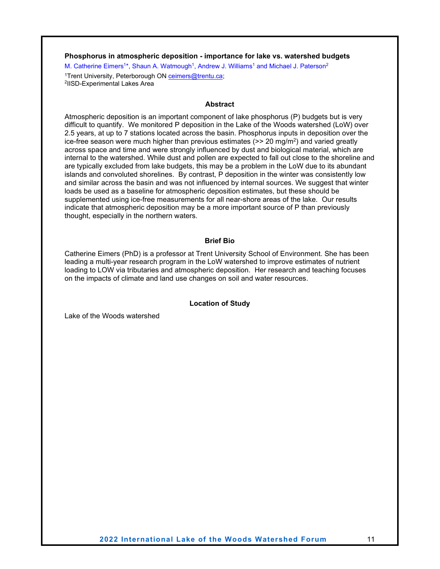#### <span id="page-18-0"></span>**Phosphorus in atmospheric deposition - importance for lake vs. watershed budgets**

<span id="page-18-1"></span>M. Catherine Eimers<sup>1\*</sup>, Shaun A. Watmough<sup>1</sup>, Andrew J. Williams<sup>1</sup> and Michael J. Paterson<sup>2</sup>

<sup>1</sup>Trent University, Peterborough ON <u>[ceimers@trentu.ca;](mailto:ceimers@trentu.ca)</u><br><sup>2</sup>IISD-Experimental Lakes Area

#### **Abstract**

Atmospheric deposition is an important component of lake phosphorus (P) budgets but is very difficult to quantify. We monitored P deposition in the Lake of the Woods watershed (LoW) over 2.5 years, at up to 7 stations located across the basin. Phosphorus inputs in deposition over the ice-free season were much higher than previous estimates  $(>= 20 \text{ mg/m}^2)$  and varied greatly across space and time and were strongly influenced by dust and biological material, which are internal to the watershed. While dust and pollen are expected to fall out close to the shoreline and are typically excluded from lake budgets, this may be a problem in the LoW due to its abundant islands and convoluted shorelines. By contrast, P deposition in the winter was consistently low and similar across the basin and was not influenced by internal sources. We suggest that winter loads be used as a baseline for atmospheric deposition estimates, but these should be supplemented using ice-free measurements for all near-shore areas of the lake. Our results indicate that atmospheric deposition may be a more important source of P than previously thought, especially in the northern waters.

#### **Brief Bio**

Catherine Eimers (PhD) is a professor at Trent University School of Environment. She has been leading a multi-year research program in the LoW watershed to improve estimates of nutrient loading to LOW via tributaries and atmospheric deposition. Her research and teaching focuses on the impacts of climate and land use changes on soil and water resources.

#### **Location of Study**

Lake of the Woods watershed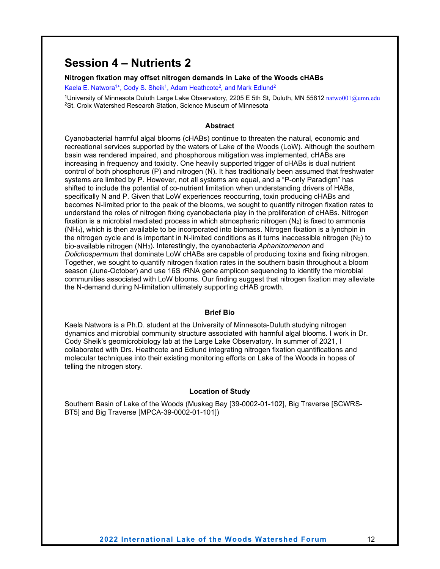### <span id="page-19-0"></span>**Session 4 – Nutrients 2**

#### <span id="page-19-1"></span>**Nitrogen fixation may offset nitrogen demands in Lake of the Woods cHABs**

<span id="page-19-2"></span>Kaela E. Natwora<sup>1\*</sup>, Cody S. Sheik<sup>1</sup>, Adam Heathcote<sup>2</sup>, and Mark Edlund<sup>2</sup>

<sup>1</sup>University of Minnesota Duluth Large Lake Observatory, 2205 E 5th St, Duluth, MN 55812 [natwo001@umn.edu](mailto:natwo001@umn.edu) 2St. Croix Watershed Research Station, Science Museum of Minnesota

#### **Abstract**

Cyanobacterial harmful algal blooms (cHABs) continue to threaten the natural, economic and recreational services supported by the waters of Lake of the Woods (LoW). Although the southern basin was rendered impaired, and phosphorous mitigation was implemented, cHABs are increasing in frequency and toxicity. One heavily supported trigger of cHABs is dual nutrient control of both phosphorus (P) and nitrogen (N). It has traditionally been assumed that freshwater systems are limited by P. However, not all systems are equal, and a "P-only Paradigm" has shifted to include the potential of co-nutrient limitation when understanding drivers of HABs, specifically N and P. Given that LoW experiences reoccurring, toxin producing cHABs and becomes N-limited prior to the peak of the blooms, we sought to quantify nitrogen fixation rates to understand the roles of nitrogen fixing cyanobacteria play in the proliferation of cHABs. Nitrogen fixation is a microbial mediated process in which atmospheric nitrogen  $(N_2)$  is fixed to ammonia (NH3), which is then available to be incorporated into biomass. Nitrogen fixation is a lynchpin in the nitrogen cycle and is important in N-limited conditions as it turns inaccessible nitrogen  $(N_2)$  to bio-available nitrogen (NH3). Interestingly, the cyanobacteria *Aphanizomenon* and *Dolichospermum* that dominate LoW cHABs are capable of producing toxins and fixing nitrogen. Together, we sought to quantify nitrogen fixation rates in the southern basin throughout a bloom season (June-October) and use 16S rRNA gene amplicon sequencing to identify the microbial communities associated with LoW blooms. Our finding suggest that nitrogen fixation may alleviate the N-demand during N-limitation ultimately supporting cHAB growth.

#### **Brief Bio**

Kaela Natwora is a Ph.D. student at the University of Minnesota-Duluth studying nitrogen dynamics and microbial community structure associated with harmful algal blooms. I work in Dr. Cody Sheik's geomicrobiology lab at the Large Lake Observatory. In summer of 2021, I collaborated with Drs. Heathcote and Edlund integrating nitrogen fixation quantifications and molecular techniques into their existing monitoring efforts on Lake of the Woods in hopes of telling the nitrogen story.

#### **Location of Study**

Southern Basin of Lake of the Woods (Muskeg Bay [39-0002-01-102], Big Traverse [SCWRS-BT5] and Big Traverse [MPCA-39-0002-01-101])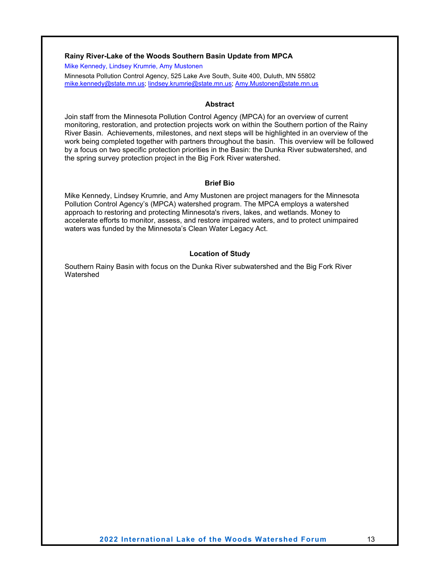#### <span id="page-20-0"></span>**Rainy River-Lake of the Woods Southern Basin Update from MPCA**

<span id="page-20-1"></span>Mike Kennedy, Lindsey Krumrie, Amy Mustonen

Minnesota Pollution Control Agency, 525 Lake Ave South, Suite 400, Duluth, MN 55802 [mike.kennedy@state.mn.us;](mailto:mike.kennedy@state.mn.us) [lindsey.krumrie@state.mn.us;](mailto:lindsey.krumrie@state.mn.us) [Amy.Mustonen@state.mn.us](mailto:Amy.Mustonen@state.mn.us)

#### **Abstract**

Join staff from the Minnesota Pollution Control Agency (MPCA) for an overview of current monitoring, restoration, and protection projects work on within the Southern portion of the Rainy River Basin. Achievements, milestones, and next steps will be highlighted in an overview of the work being completed together with partners throughout the basin. This overview will be followed by a focus on two specific protection priorities in the Basin: the Dunka River subwatershed, and the spring survey protection project in the Big Fork River watershed.

#### **Brief Bio**

Mike Kennedy, Lindsey Krumrie, and Amy Mustonen are project managers for the Minnesota Pollution Control Agency's (MPCA) watershed program. The MPCA employs a watershed approach to restoring and protecting Minnesota's rivers, lakes, and wetlands. Money to accelerate efforts to monitor, assess, and restore impaired waters, and to protect unimpaired waters was funded by the Minnesota's Clean Water Legacy Act.

#### **Location of Study**

Southern Rainy Basin with focus on the Dunka River subwatershed and the Big Fork River Watershed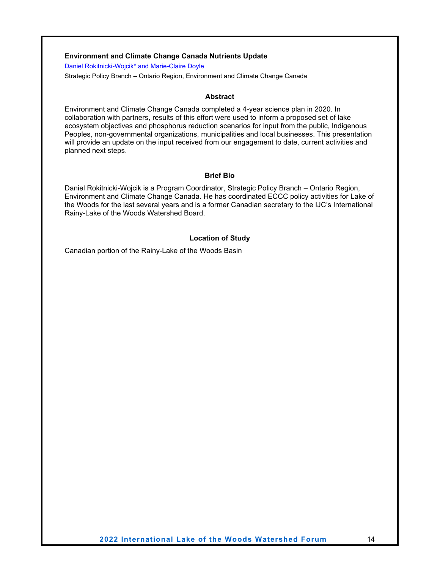#### <span id="page-21-0"></span>**Environment and Climate Change Canada Nutrients Update**

<span id="page-21-1"></span>Daniel Rokitnicki-Wojcik\* and Marie-Claire Doyle

Strategic Policy Branch – Ontario Region, Environment and Climate Change Canada

#### **Abstract**

Environment and Climate Change Canada completed a 4-year science plan in 2020. In collaboration with partners, results of this effort were used to inform a proposed set of lake ecosystem objectives and phosphorus reduction scenarios for input from the public, Indigenous Peoples, non-governmental organizations, municipalities and local businesses. This presentation will provide an update on the input received from our engagement to date, current activities and planned next steps.

#### **Brief Bio**

Daniel Rokitnicki-Wojcik is a Program Coordinator, Strategic Policy Branch – Ontario Region, Environment and Climate Change Canada. He has coordinated ECCC policy activities for Lake of the Woods for the last several years and is a former Canadian secretary to the IJC's International Rainy-Lake of the Woods Watershed Board.

#### **Location of Study**

Canadian portion of the Rainy-Lake of the Woods Basin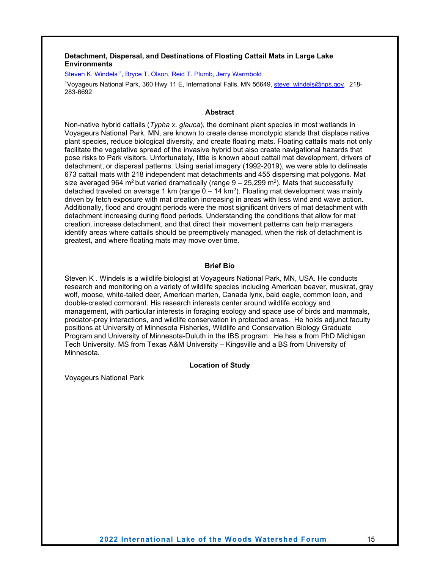#### <span id="page-22-0"></span>**Detachment, Dispersal, and Destinations of Floating Cattail Mats in Large Lake Environments**

<span id="page-22-1"></span>Steven K. Windels<sup>1\*</sup>, Bryce T. Olson, Reid T. Plumb, Jerry Warmbold

1Voyageurs National Park, 360 Hwy 11 E, International Falls, MN 56649[, steve\\_windels@nps.gov,](mailto:steve_windels@nps.gov) 218- 283-6692

#### **Abstract**

Non-native hybrid cattails (*Typha x. glauca*), the dominant plant species in most wetlands in Voyageurs National Park, MN, are known to create dense monotypic stands that displace native plant species, reduce biological diversity, and create floating mats. Floating cattails mats not only facilitate the vegetative spread of the invasive hybrid but also create navigational hazards that pose risks to Park visitors. Unfortunately, little is known about cattail mat development, drivers of detachment, or dispersal patterns. Using aerial imagery (1992-2019), we were able to delineate 673 cattail mats with 218 independent mat detachments and 455 dispersing mat polygons. Mat size averaged 964 m<sup>2</sup> but varied dramatically (range  $9 - 25,299$  m<sup>2</sup>). Mats that successfully detached traveled on average 1 km (range  $0 - 14$  km<sup>2</sup>). Floating mat development was mainly driven by fetch exposure with mat creation increasing in areas with less wind and wave action. Additionally, flood and drought periods were the most significant drivers of mat detachment with detachment increasing during flood periods. Understanding the conditions that allow for mat creation, increase detachment, and that direct their movement patterns can help managers identify areas where cattails should be preemptively managed, when the risk of detachment is greatest, and where floating mats may move over time.

#### **Brief Bio**

Steven K . Windels is a wildlife biologist at Voyageurs National Park, MN, USA. He conducts research and monitoring on a variety of wildlife species including American beaver, muskrat, gray wolf, moose, white-tailed deer, American marten, Canada lynx, bald eagle, common loon, and double-crested cormorant. His research interests center around wildlife ecology and management, with particular interests in foraging ecology and space use of birds and mammals, predator-prey interactions, and wildlife conservation in protected areas. He holds adjunct faculty positions at University of Minnesota Fisheries, Wildlife and Conservation Biology Graduate Program and University of Minnesota-Duluth in the IBS program. He has a from PhD Michigan Tech University. MS from Texas A&M University – Kingsville and a BS from University of Minnesota.

#### **Location of Study**

Voyageurs National Park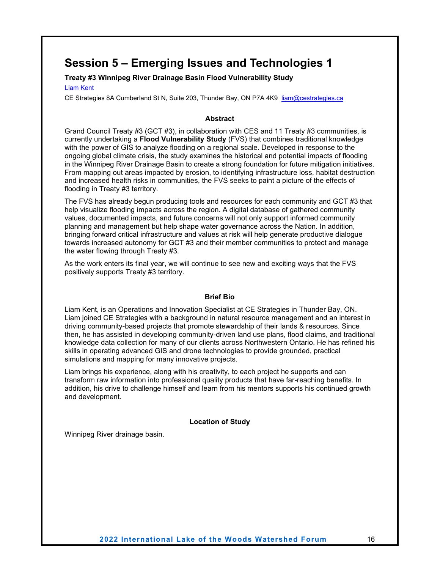### <span id="page-23-0"></span>**Session 5 – Emerging Issues and Technologies 1**

#### <span id="page-23-1"></span>**Treaty #3 Winnipeg River Drainage Basin Flood Vulnerability Study**

<span id="page-23-2"></span>Liam Kent

CE Strategies 8A Cumberland St N, Suite 203, Thunder Bay, ON P7A 4K9 [liam@cestrategies.ca](mailto:liam@cestrategies.ca)

#### **Abstract**

Grand Council Treaty #3 (GCT #3), in collaboration with CES and 11 Treaty #3 communities, is currently undertaking a **Flood Vulnerability Study** (FVS) that combines traditional knowledge with the power of GIS to analyze flooding on a regional scale. Developed in response to the ongoing global climate crisis, the study examines the historical and potential impacts of flooding in the Winnipeg River Drainage Basin to create a strong foundation for future mitigation initiatives. From mapping out areas impacted by erosion, to identifying infrastructure loss, habitat destruction and increased health risks in communities, the FVS seeks to paint a picture of the effects of flooding in Treaty #3 territory.

The FVS has already begun producing tools and resources for each community and GCT #3 that help visualize flooding impacts across the region. A digital database of gathered community values, documented impacts, and future concerns will not only support informed community planning and management but help shape water governance across the Nation. In addition, bringing forward critical infrastructure and values at risk will help generate productive dialogue towards increased autonomy for GCT #3 and their member communities to protect and manage the water flowing through Treaty #3.

As the work enters its final year, we will continue to see new and exciting ways that the FVS positively supports Treaty #3 territory.

#### **Brief Bio**

Liam Kent, is an Operations and Innovation Specialist at CE Strategies in Thunder Bay, ON. Liam joined CE Strategies with a background in natural resource management and an interest in driving community-based projects that promote stewardship of their lands & resources. Since then, he has assisted in developing community-driven land use plans, flood claims, and traditional knowledge data collection for many of our clients across Northwestern Ontario. He has refined his skills in operating advanced GIS and drone technologies to provide grounded, practical simulations and mapping for many innovative projects.

Liam brings his experience, along with his creativity, to each project he supports and can transform raw information into professional quality products that have far-reaching benefits. In addition, his drive to challenge himself and learn from his mentors supports his continued growth and development.

#### **Location of Study**

Winnipeg River drainage basin.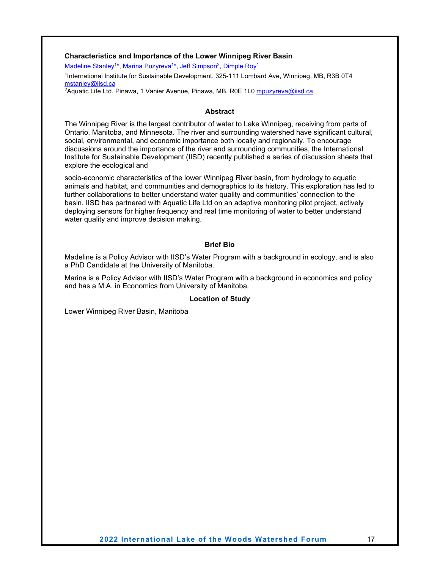#### <span id="page-24-0"></span>**Characteristics and Importance of the Lower Winnipeg River Basin**

<span id="page-24-1"></span>Madeline Stanley<sup>1\*</sup>, Marina Puzyreva<sup>1\*</sup>, Jeff Simpson<sup>2</sup>, Dimple Roy<sup>1</sup>

1International Institute for Sustainable Development. 325-111 Lombard Ave, Winnipeg, MB, R3B 0T4 <u>[mstanley@iisd.ca](mailto:mstanley@iisd.ca)</u>

<sup>2</sup>Aquatic Life Ltd. Pinawa, 1 Vanier Avenue, Pinawa, MB, R0E 1L0 <u>[mpuzyreva@iisd.ca](mailto:mpuzyreva@iisd.ca)</u>

#### **Abstract**

The Winnipeg River is the largest contributor of water to Lake Winnipeg, receiving from parts of Ontario, Manitoba, and Minnesota. The river and surrounding watershed have significant cultural, social, environmental, and economic importance both locally and regionally. To encourage discussions around the importance of the river and surrounding communities, the International Institute for Sustainable Development (IISD) recently published a series of discussion sheets that explore the ecological and

socio-economic characteristics of the lower Winnipeg River basin, from hydrology to aquatic animals and habitat, and communities and demographics to its history. This exploration has led to further collaborations to better understand water quality and communities' connection to the basin. IISD has partnered with Aquatic Life Ltd on an adaptive monitoring pilot project, actively deploying sensors for higher frequency and real time monitoring of water to better understand water quality and improve decision making.

#### **Brief Bio**

Madeline is a Policy Advisor with IISD's Water Program with a background in ecology, and is also a PhD Candidate at the University of Manitoba.

Marina is a Policy Advisor with IISD's Water Program with a background in economics and policy and has a M.A. in Economics from University of Manitoba.

#### **Location of Study**

Lower Winnipeg River Basin, Manitoba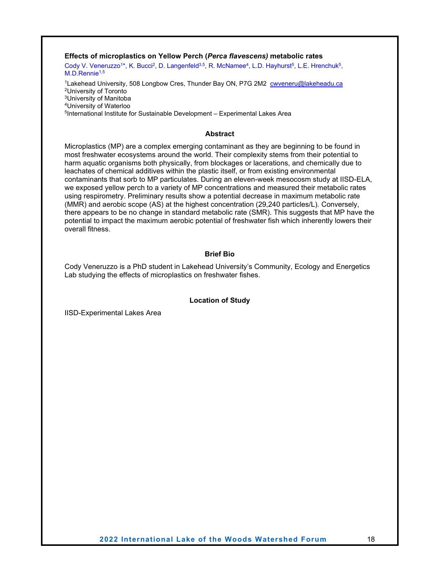<span id="page-25-0"></span>**Effects of microplastics on Yellow Perch (***Perca flavescens)* **metabolic rates**

<span id="page-25-1"></span>Cody V. Veneruzzo<sup>1\*</sup>, K. Bucci<sup>2</sup>, D. Langenfeld<sup>3,5</sup>, R. McNamee<sup>4</sup>, L.D. Hayhurst<sup>5</sup>, L.E. Hrenchuk<sup>5</sup>, M.D.Rennie<sup>1,5</sup>

<sup>1</sup>Lakehead University, 508 Longbow Cres, Thunder Bay ON, P7G 2M2 [cwveneru@lakeheadu.ca](mailto:cwveneru@lakeheadu.ca) 2University of Toronto 3University of Manitoba 4University of Waterloo 5International Institute for Sustainable Development – Experimental Lakes Area

#### **Abstract**

Microplastics (MP) are a complex emerging contaminant as they are beginning to be found in most freshwater ecosystems around the world. Their complexity stems from their potential to harm aquatic organisms both physically, from blockages or lacerations, and chemically due to leachates of chemical additives within the plastic itself, or from existing environmental contaminants that sorb to MP particulates. During an eleven-week mesocosm study at IISD-ELA, we exposed yellow perch to a variety of MP concentrations and measured their metabolic rates using respirometry. Preliminary results show a potential decrease in maximum metabolic rate (MMR) and aerobic scope (AS) at the highest concentration (29,240 particles/L). Conversely, there appears to be no change in standard metabolic rate (SMR). This suggests that MP have the potential to impact the maximum aerobic potential of freshwater fish which inherently lowers their overall fitness.

#### **Brief Bio**

Cody Veneruzzo is a PhD student in Lakehead University's Community, Ecology and Energetics Lab studying the effects of microplastics on freshwater fishes.

#### **Location of Study**

IISD-Experimental Lakes Area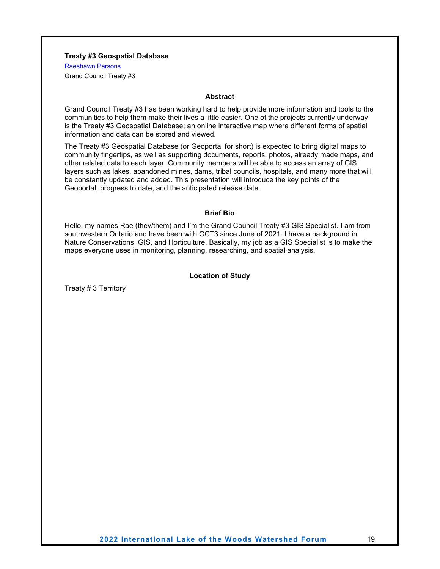#### <span id="page-26-0"></span>**Treaty #3 Geospatial Database**

<span id="page-26-1"></span>Raeshawn Parsons

Grand Council Treaty #3

#### **Abstract**

Grand Council Treaty #3 has been working hard to help provide more information and tools to the communities to help them make their lives a little easier. One of the projects currently underway is the Treaty #3 Geospatial Database; an online interactive map where different forms of spatial information and data can be stored and viewed.

The Treaty #3 Geospatial Database (or Geoportal for short) is expected to bring digital maps to community fingertips, as well as supporting documents, reports, photos, already made maps, and other related data to each layer. Community members will be able to access an array of GIS layers such as lakes, abandoned mines, dams, tribal councils, hospitals, and many more that will be constantly updated and added. This presentation will introduce the key points of the Geoportal, progress to date, and the anticipated release date.

#### **Brief Bio**

Hello, my names Rae (they/them) and I'm the Grand Council Treaty #3 GIS Specialist. I am from southwestern Ontario and have been with GCT3 since June of 2021. I have a background in Nature Conservations, GIS, and Horticulture. Basically, my job as a GIS Specialist is to make the maps everyone uses in monitoring, planning, researching, and spatial analysis.

#### **Location of Study**

Treaty # 3 Territory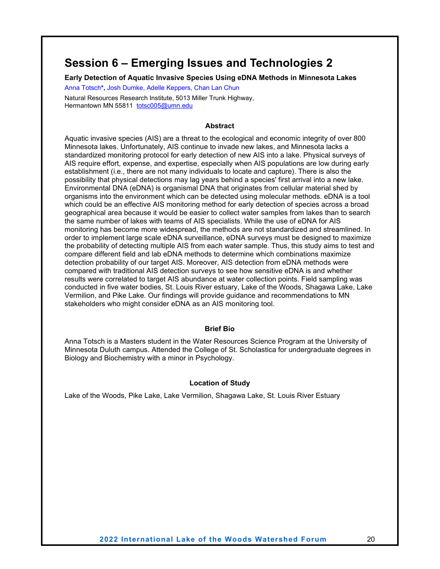### <span id="page-27-0"></span>**Session 6 – Emerging Issues and Technologies 2**

<span id="page-27-1"></span>**Early Detection of Aquatic Invasive Species Using eDNA Methods in Minnesota Lakes**

<span id="page-27-2"></span>Anna Totsch**\*,** Josh Dumke, Adelle Keppers, Chan Lan Chun

Natural Resources Research Institute, 5013 Miller Trunk Highway, Hermantown MN 55811 [totsc005@umn.edu](mailto:totsc005@umn.edu)

#### **Abstract**

Aquatic invasive species (AIS) are a threat to the ecological and economic integrity of over 800 Minnesota lakes. Unfortunately, AIS continue to invade new lakes, and Minnesota lacks a standardized monitoring protocol for early detection of new AIS into a lake. Physical surveys of AIS require effort, expense, and expertise, especially when AIS populations are low during early establishment (i.e., there are not many individuals to locate and capture). There is also the possibility that physical detections may lag years behind a species' first arrival into a new lake. Environmental DNA (eDNA) is organismal DNA that originates from cellular material shed by organisms into the environment which can be detected using molecular methods. eDNA is a tool which could be an effective AIS monitoring method for early detection of species across a broad geographical area because it would be easier to collect water samples from lakes than to search the same number of lakes with teams of AIS specialists. While the use of eDNA for AIS monitoring has become more widespread, the methods are not standardized and streamlined. In order to implement large scale eDNA surveillance, eDNA surveys must be designed to maximize the probability of detecting multiple AIS from each water sample. Thus, this study aims to test and compare different field and lab eDNA methods to determine which combinations maximize detection probability of our target AIS. Moreover, AIS detection from eDNA methods were compared with traditional AIS detection surveys to see how sensitive eDNA is and whether results were correlated to target AIS abundance at water collection points. Field sampling was conducted in five water bodies, St. Louis River estuary, Lake of the Woods, Shagawa Lake, Lake Vermilion, and Pike Lake. Our findings will provide guidance and recommendations to MN stakeholders who might consider eDNA as an AIS monitoring tool.

#### **Brief Bio**

Anna Totsch is a Masters student in the Water Resources Science Program at the University of Minnesota Duluth campus. Attended the College of St. Scholastica for undergraduate degrees in Biology and Biochemistry with a minor in Psychology.

#### **Location of Study**

Lake of the Woods, Pike Lake, Lake Vermilion, Shagawa Lake, St. Louis River Estuary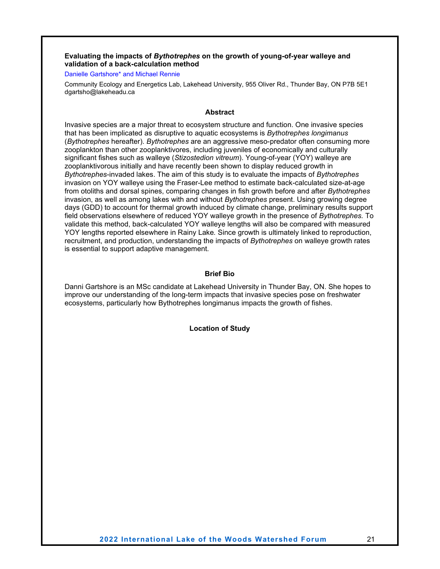#### <span id="page-28-0"></span>**Evaluating the impacts of** *Bythotrephes* **on the growth of young-of-year walleye and validation of a back-calculation method**

#### <span id="page-28-1"></span>Danielle Gartshore\* and Michael Rennie

Community Ecology and Energetics Lab, Lakehead University, 955 Oliver Rd., Thunder Bay, ON P7B 5E1 dgartsho@lakeheadu.ca

#### **Abstract**

Invasive species are a major threat to ecosystem structure and function. One invasive species that has been implicated as disruptive to aquatic ecosystems is *Bythotrephes longimanus* (*Bythotrephes* hereafter). *Bythotrephes* are an aggressive meso-predator often consuming more zooplankton than other zooplanktivores, including juveniles of economically and culturally significant fishes such as walleye (*Stizostedion vitreum*). Young-of-year (YOY) walleye are zooplanktivorous initially and have recently been shown to display reduced growth in *Bythotrephes*-invaded lakes. The aim of this study is to evaluate the impacts of *Bythotrephes* invasion on YOY walleye using the Fraser-Lee method to estimate back-calculated size-at-age from otoliths and dorsal spines, comparing changes in fish growth before and after *Bythotrephes* invasion, as well as among lakes with and without *Bythotrephes* present. Using growing degree days (GDD) to account for thermal growth induced by climate change, preliminary results support field observations elsewhere of reduced YOY walleye growth in the presence of *Bythotrephes.* To validate this method, back-calculated YOY walleye lengths will also be compared with measured YOY lengths reported elsewhere in Rainy Lake*.* Since growth is ultimately linked to reproduction, recruitment, and production, understanding the impacts of *Bythotrephes* on walleye growth rates is essential to support adaptive management.

#### **Brief Bio**

Danni Gartshore is an MSc candidate at Lakehead University in Thunder Bay, ON. She hopes to improve our understanding of the long-term impacts that invasive species pose on freshwater ecosystems, particularly how Bythotrephes longimanus impacts the growth of fishes.

#### **Location of Study**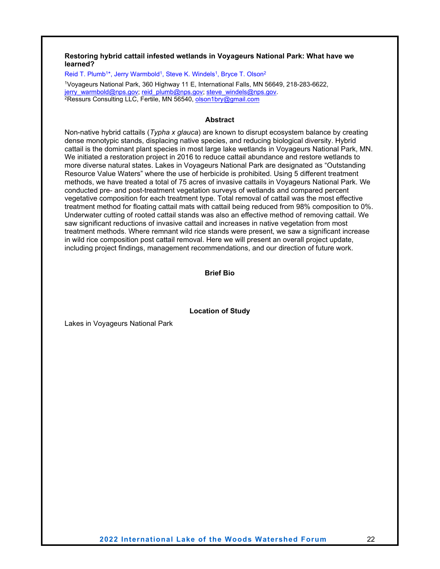#### <span id="page-29-0"></span>**Restoring hybrid cattail infested wetlands in Voyageurs National Park: What have we learned?**

<span id="page-29-1"></span>Reid T. Plumb<sup>1\*</sup>, Jerry Warmbold<sup>1</sup>, Steve K. Windels<sup>1</sup>, Bryce T. Olson<sup>2</sup>

<sup>1</sup>Voyageurs National Park, 360 Highway 11 E, International Falls, MN 56649, 218-283-6622, <br>jerry warmbold@nps.gov; reid\_plumb@nps.gov; steve\_windels@nps.gov.  $2$ Ressurs Consulting LLC, Fertile, MN 56540, [olson1bry@gmail.com](mailto:olson1bry@gmail.com)

#### **Abstract**

Non-native hybrid cattails (*Typha x glauca*) are known to disrupt ecosystem balance by creating dense monotypic stands, displacing native species, and reducing biological diversity. Hybrid cattail is the dominant plant species in most large lake wetlands in Voyageurs National Park, MN. We initiated a restoration project in 2016 to reduce cattail abundance and restore wetlands to more diverse natural states. Lakes in Voyageurs National Park are designated as "Outstanding Resource Value Waters" where the use of herbicide is prohibited. Using 5 different treatment methods, we have treated a total of 75 acres of invasive cattails in Voyageurs National Park. We conducted pre- and post-treatment vegetation surveys of wetlands and compared percent vegetative composition for each treatment type. Total removal of cattail was the most effective treatment method for floating cattail mats with cattail being reduced from 98% composition to 0%. Underwater cutting of rooted cattail stands was also an effective method of removing cattail. We saw significant reductions of invasive cattail and increases in native vegetation from most treatment methods. Where remnant wild rice stands were present, we saw a significant increase in wild rice composition post cattail removal. Here we will present an overall project update, including project findings, management recommendations, and our direction of future work.

#### **Brief Bio**

**Location of Study**

Lakes in Voyageurs National Park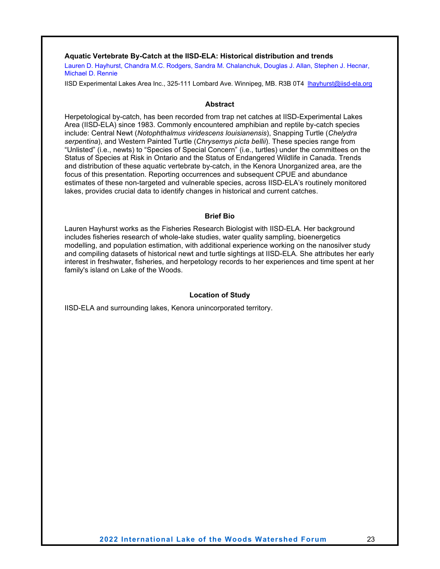#### <span id="page-30-0"></span>**Aquatic Vertebrate By-Catch at the IISD-ELA: Historical distribution and trends**

<span id="page-30-1"></span>Lauren D. Hayhurst, Chandra M.C. Rodgers, Sandra M. Chalanchuk, Douglas J. Allan, Stephen J. Hecnar, Michael D. Rennie

IISD Experimental Lakes Area Inc., 325-111 Lombard Ave. Winnipeg, MB. R3B 0T4 [lhayhurst@iisd-ela.org](mailto:lhayhurst@iisd-ela.org)

#### **Abstract**

Herpetological by-catch, has been recorded from trap net catches at IISD-Experimental Lakes Area (IISD-ELA) since 1983. Commonly encountered amphibian and reptile by-catch species include: Central Newt (*Notophthalmus viridescens louisianensis*), Snapping Turtle (*Chelydra serpentina*), and Western Painted Turtle (*Chrysemys picta bellii*). These species range from "Unlisted" (i.e., newts) to "Species of Special Concern" (i.e., turtles) under the committees on the Status of Species at Risk in Ontario and the Status of Endangered Wildlife in Canada. Trends and distribution of these aquatic vertebrate by-catch, in the Kenora Unorganized area, are the focus of this presentation. Reporting occurrences and subsequent CPUE and abundance estimates of these non-targeted and vulnerable species, across IISD-ELA's routinely monitored lakes, provides crucial data to identify changes in historical and current catches.

#### **Brief Bio**

Lauren Hayhurst works as the Fisheries Research Biologist with IISD-ELA. Her background includes fisheries research of whole-lake studies, water quality sampling, bioenergetics modelling, and population estimation, with additional experience working on the nanosilver study and compiling datasets of historical newt and turtle sightings at IISD-ELA. She attributes her early interest in freshwater, fisheries, and herpetology records to her experiences and time spent at her family's island on Lake of the Woods.

#### **Location of Study**

IISD-ELA and surrounding lakes, Kenora unincorporated territory.